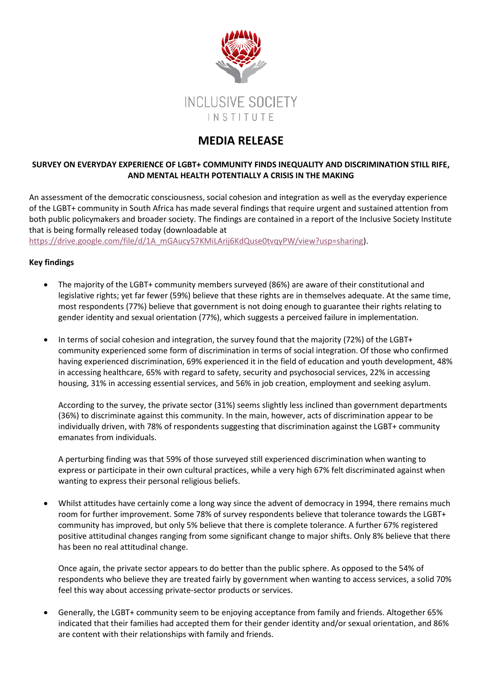

## **MEDIA RELEASE**

## **SURVEY ON EVERYDAY EXPERIENCE OF LGBT+ COMMUNITY FINDS INEQUALITY AND DISCRIMINATION STILL RIFE, AND MENTAL HEALTH POTENTIALLY A CRISIS IN THE MAKING**

An assessment of the democratic consciousness, social cohesion and integration as well as the everyday experience of the LGBT+ community in South Africa has made several findings that require urgent and sustained attention from both public policymakers and broader society. The findings are contained in a report of the Inclusive Society Institute that is being formally released today (downloadable at

[https://drive.google.com/file/d/1A\\_mGAucy57KMiLArij6KdQuse0tvqyPW/view?usp=sharing\)](https://drive.google.com/file/d/1A_mGAucy57KMiLArij6KdQuse0tvqyPW/view?usp=sharing).

## **Key findings**

- The majority of the LGBT+ community members surveyed (86%) are aware of their constitutional and legislative rights; yet far fewer (59%) believe that these rights are in themselves adequate. At the same time, most respondents (77%) believe that government is not doing enough to guarantee their rights relating to gender identity and sexual orientation (77%), which suggests a perceived failure in implementation.
- In terms of social cohesion and integration, the survey found that the majority (72%) of the LGBT+ community experienced some form of discrimination in terms of social integration. Of those who confirmed having experienced discrimination, 69% experienced it in the field of education and youth development, 48% in accessing healthcare, 65% with regard to safety, security and psychosocial services, 22% in accessing housing, 31% in accessing essential services, and 56% in job creation, employment and seeking asylum.

According to the survey, the private sector (31%) seems slightly less inclined than government departments (36%) to discriminate against this community. In the main, however, acts of discrimination appear to be individually driven, with 78% of respondents suggesting that discrimination against the LGBT+ community emanates from individuals.

A perturbing finding was that 59% of those surveyed still experienced discrimination when wanting to express or participate in their own cultural practices, while a very high 67% felt discriminated against when wanting to express their personal religious beliefs.

• Whilst attitudes have certainly come a long way since the advent of democracy in 1994, there remains much room for further improvement. Some 78% of survey respondents believe that tolerance towards the LGBT+ community has improved, but only 5% believe that there is complete tolerance. A further 67% registered positive attitudinal changes ranging from some significant change to major shifts. Only 8% believe that there has been no real attitudinal change.

Once again, the private sector appears to do better than the public sphere. As opposed to the 54% of respondents who believe they are treated fairly by government when wanting to access services, a solid 70% feel this way about accessing private-sector products or services.

• Generally, the LGBT+ community seem to be enjoying acceptance from family and friends. Altogether 65% indicated that their families had accepted them for their gender identity and/or sexual orientation, and 86% are content with their relationships with family and friends.